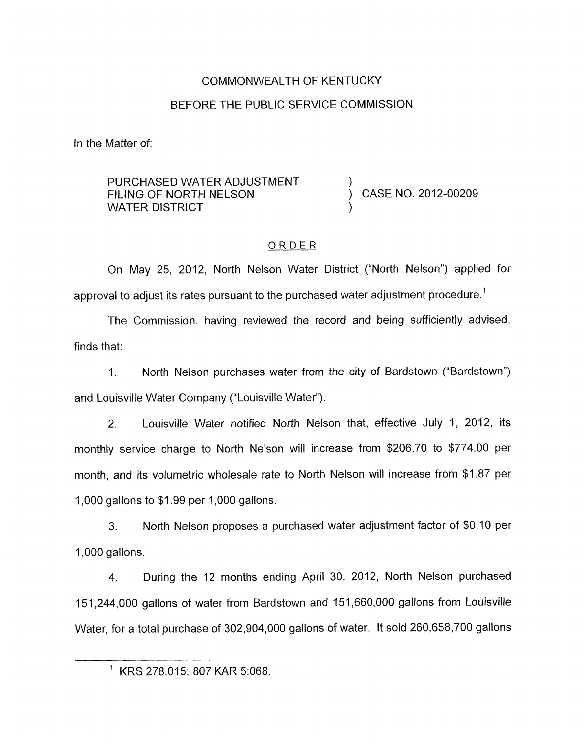# COMMONWEALTH OF KENTUCKY BEFORE THE PUBLIC SERVICE COMMISSION

In the Matter of:

#### PURCHASED WATER ADJUSTMENT FILING OF NORTH NELSON (CASE NO. 2012-00209 WATER DISTRICT

## ORDER

On May 25, 2012, North Nelson Water District ("North Nelson") applied for approval to adjust its rates pursuant to the purchased water adjustment procedure.<sup>1</sup>

The Commission, having reviewed the record and being sufficiently advised, finds that:

1. North Nelson purchases water from the city of Bardstown ("Bardstown") and Louisville Water Company ("Louisville Water").

2. Louisville Water notified North Nelson that, effective July 1, 2012, its monthly service charge to North Nelson will increase from \$206.70 to \$774.00 per month, and its volumetric wholesale rate to North Nelson will increase from \$1.87 per 1,000 gallons to \$1.99 per 1,000 gallons.

**3.** North Nelson proposes a purchased water adjustment factor of \$0.10 per 1,000 gallons.

4. During the 12 months ending April 30, 2012, North Nelson purchased 151,244,000 gallons of water from Bardstown and 151,660,000 gallons from Louisville Water, for a total purchase of 302,904,000 gallons of water. It sold 260,658,700 gallons

<sup>&#</sup>x27; KRS 278.015; 807 KAR 5:068.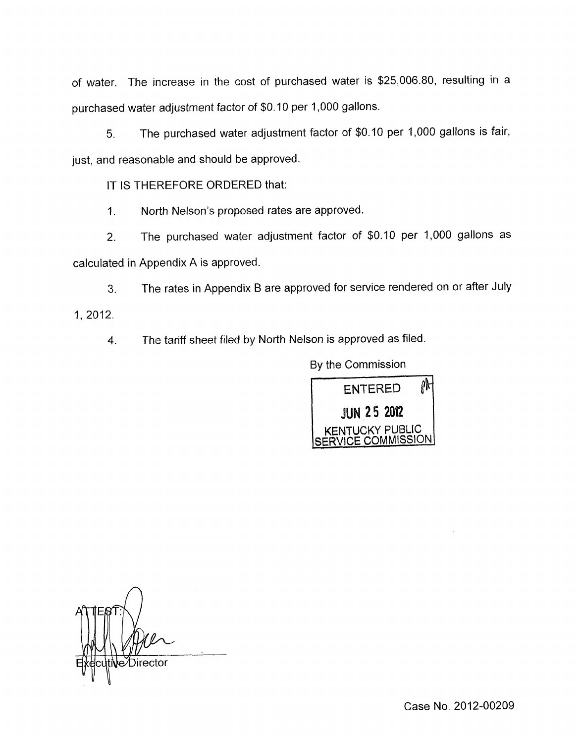of water. The increase in the cost of purchased water is \$25,006.80, resulting in a purchased water adjustment factor of \$0.10 per 1,000 gallons.

*5.* The purchased water adjustment factor of \$0.10 per 1,000 gallons is fair, just, and reasonable and should be approved.

IT IS THEREFORE ORDERED that:

1. North Nelson's proposed rates are approved.

2. The purchased water adjustment factor of \$0.10 per 1,000 gallons as calculated in Appendix A is approved.

**3.** The rates in Appendix B are approved for service rendered on or after July

1, 2012.

4. The tariff sheet filed by North Nelson is approved as filed.

By the Commission



*n*  e Director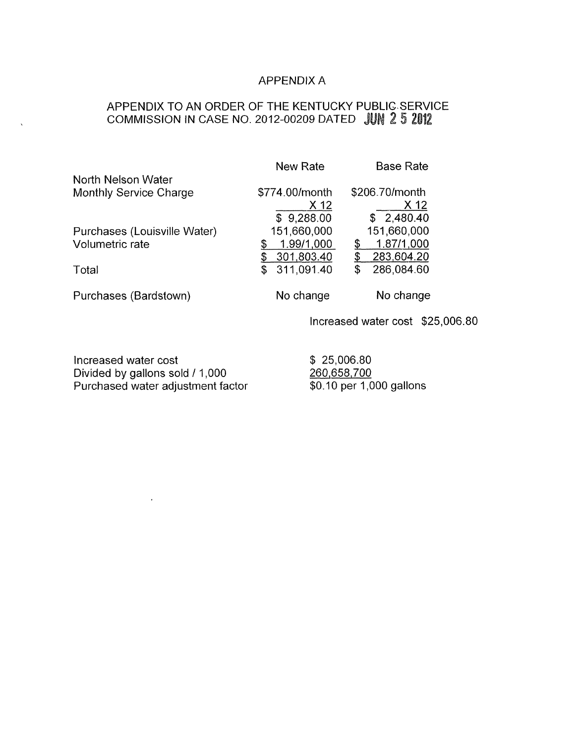### APPENDIX A

# APPENDIX TO AN ORDER OF THE KENTUCKY PUBLIC-SERVICE COMMISSION IN CASE NO. 2012-00209 DATED

| North Nelson Water           | <b>New Rate</b>  | <b>Base Rate</b> |
|------------------------------|------------------|------------------|
| Monthly Service Charge       | \$774.00/month   | \$206.70/month   |
|                              | X 12             | X 12             |
|                              | \$9,288.00       | \$2,480.40       |
| Purchases (Louisville Water) | 151,660,000      | 151,660,000      |
| Volumetric rate              | 1.99/1,000<br>\$ | 1.87/1,000<br>\$ |
|                              | 301,803.40<br>\$ | 283,604.20<br>\$ |
| Total                        | 311,091.40       | 286,084.60<br>\$ |
| Purchases (Bardstown)        | No change        | No change        |

Increased water cost \$25,006.80

Increased water cost Divided by gallons sold / 1,000 Purchased water adjustment factor \$ 25,006.80 260,658,700 \$0.10 per 1,000 gallons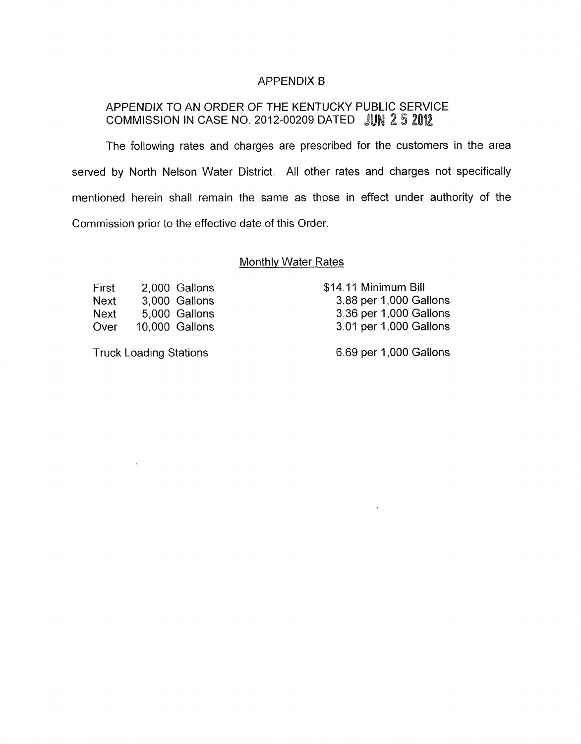#### APPENDIX B

## APPENDIX TO AN ORDER OF THE KENTUCKY PUBLIC SERVICE COMMISSION IN CASE NO. 2012-00209 DATED JUN 2 5 2012

The following rates and charges are prescribed for the customers in the area served by North Nelson Water District. All other rates and charges not specifically mentioned herein shall remain the same as those in effect under authority of the Commission prior to the effective date of this Order.

#### Monthly Water Rates

First 2,000 Gallons Next 3,000 Gallons Next 5,000 Gallons Over 10.000 Gallons

Truck Loading Stations

\$14.11 Minimum Bill 3.88 per 1,000 Gallons 3.36 per 1,000 Gallons 3.01 per 1,000 Gallons

6.69 per 1,000 Gallons